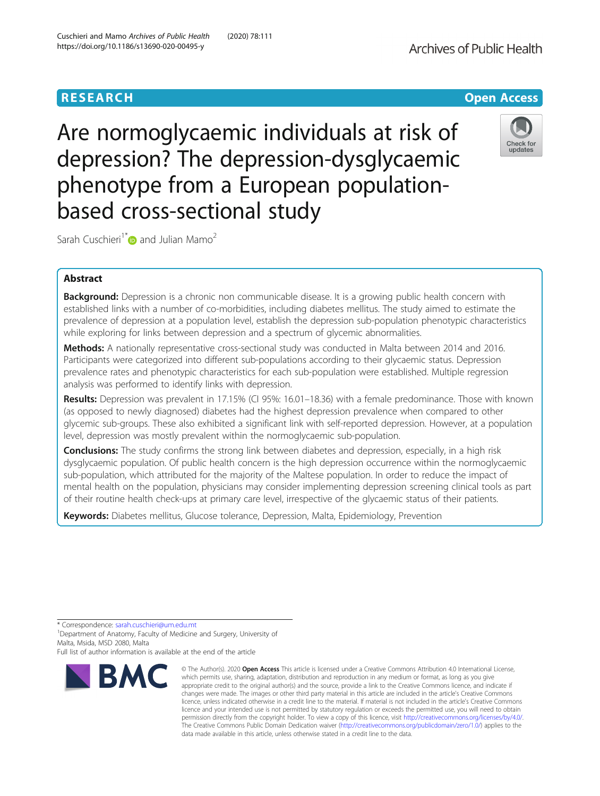# **RESEARCH CHE Open Access**

Are normoglycaemic individuals at risk of depression? The depression-dysglycaemic phenotype from a European populationbased cross-sectional study



Sarah Cuschieri<sup>1[\\*](http://orcid.org/0000-0003-2012-9234)</sup> and Julian Mamo<sup>2</sup>

# Abstract

**Background:** Depression is a chronic non communicable disease. It is a growing public health concern with established links with a number of co-morbidities, including diabetes mellitus. The study aimed to estimate the prevalence of depression at a population level, establish the depression sub-population phenotypic characteristics while exploring for links between depression and a spectrum of glycemic abnormalities.

Methods: A nationally representative cross-sectional study was conducted in Malta between 2014 and 2016. Participants were categorized into different sub-populations according to their glycaemic status. Depression prevalence rates and phenotypic characteristics for each sub-population were established. Multiple regression analysis was performed to identify links with depression.

Results: Depression was prevalent in 17.15% (CI 95%: 16.01–18.36) with a female predominance. Those with known (as opposed to newly diagnosed) diabetes had the highest depression prevalence when compared to other glycemic sub-groups. These also exhibited a significant link with self-reported depression. However, at a population level, depression was mostly prevalent within the normoglycaemic sub-population.

**Conclusions:** The study confirms the strong link between diabetes and depression, especially, in a high risk dysglycaemic population. Of public health concern is the high depression occurrence within the normoglycaemic sub-population, which attributed for the majority of the Maltese population. In order to reduce the impact of mental health on the population, physicians may consider implementing depression screening clinical tools as part of their routine health check-ups at primary care level, irrespective of the glycaemic status of their patients.

Keywords: Diabetes mellitus, Glucose tolerance, Depression, Malta, Epidemiology, Prevention

\* Correspondence: [sarah.cuschieri@um.edu.mt](mailto:sarah.cuschieri@um.edu.mt) <sup>1</sup>

<sup>1</sup> Department of Anatomy, Faculty of Medicine and Surgery, University of Malta, Msida, MSD 2080, Malta

Full list of author information is available at the end of the article



<sup>©</sup> The Author(s), 2020 **Open Access** This article is licensed under a Creative Commons Attribution 4.0 International License, which permits use, sharing, adaptation, distribution and reproduction in any medium or format, as long as you give appropriate credit to the original author(s) and the source, provide a link to the Creative Commons licence, and indicate if changes were made. The images or other third party material in this article are included in the article's Creative Commons licence, unless indicated otherwise in a credit line to the material. If material is not included in the article's Creative Commons licence and your intended use is not permitted by statutory regulation or exceeds the permitted use, you will need to obtain permission directly from the copyright holder. To view a copy of this licence, visit [http://creativecommons.org/licenses/by/4.0/.](http://creativecommons.org/licenses/by/4.0/) The Creative Commons Public Domain Dedication waiver [\(http://creativecommons.org/publicdomain/zero/1.0/](http://creativecommons.org/publicdomain/zero/1.0/)) applies to the data made available in this article, unless otherwise stated in a credit line to the data.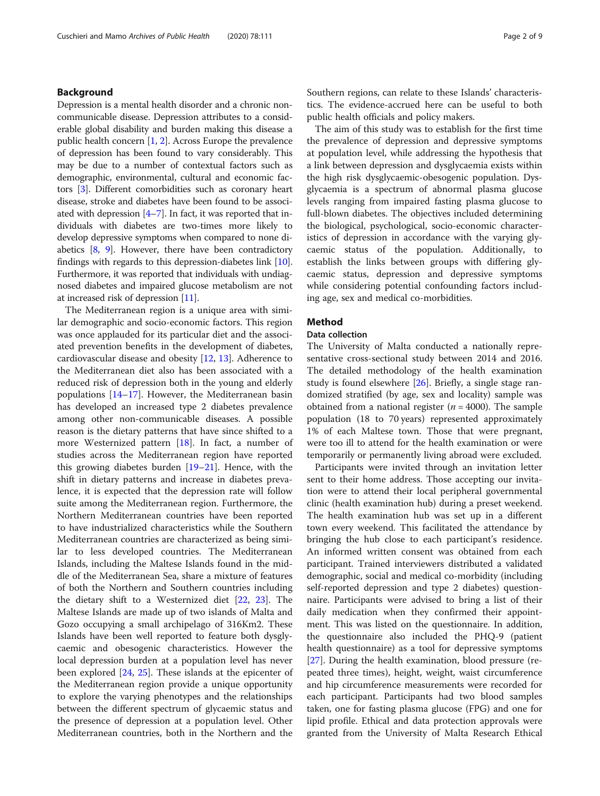# Background

Depression is a mental health disorder and a chronic noncommunicable disease. Depression attributes to a considerable global disability and burden making this disease a public health concern [\[1](#page-7-0), [2\]](#page-7-0). Across Europe the prevalence of depression has been found to vary considerably. This may be due to a number of contextual factors such as demographic, environmental, cultural and economic factors [[3\]](#page-7-0). Different comorbidities such as coronary heart disease, stroke and diabetes have been found to be associated with depression [[4](#page-7-0)–[7](#page-7-0)]. In fact, it was reported that individuals with diabetes are two-times more likely to develop depressive symptoms when compared to none diabetics [\[8](#page-7-0), [9](#page-7-0)]. However, there have been contradictory findings with regards to this depression-diabetes link [[10](#page-7-0)]. Furthermore, it was reported that individuals with undiagnosed diabetes and impaired glucose metabolism are not at increased risk of depression [[11](#page-7-0)].

The Mediterranean region is a unique area with similar demographic and socio-economic factors. This region was once applauded for its particular diet and the associated prevention benefits in the development of diabetes, cardiovascular disease and obesity [\[12,](#page-7-0) [13\]](#page-8-0). Adherence to the Mediterranean diet also has been associated with a reduced risk of depression both in the young and elderly populations [[14](#page-8-0)–[17](#page-8-0)]. However, the Mediterranean basin has developed an increased type 2 diabetes prevalence among other non-communicable diseases. A possible reason is the dietary patterns that have since shifted to a more Westernized pattern [\[18\]](#page-8-0). In fact, a number of studies across the Mediterranean region have reported this growing diabetes burden  $[19-21]$  $[19-21]$  $[19-21]$ . Hence, with the shift in dietary patterns and increase in diabetes prevalence, it is expected that the depression rate will follow suite among the Mediterranean region. Furthermore, the Northern Mediterranean countries have been reported to have industrialized characteristics while the Southern Mediterranean countries are characterized as being similar to less developed countries. The Mediterranean Islands, including the Maltese Islands found in the middle of the Mediterranean Sea, share a mixture of features of both the Northern and Southern countries including the dietary shift to a Westernized diet [\[22,](#page-8-0) [23](#page-8-0)]. The Maltese Islands are made up of two islands of Malta and Gozo occupying a small archipelago of 316Km2. These Islands have been well reported to feature both dysglycaemic and obesogenic characteristics. However the local depression burden at a population level has never been explored [\[24](#page-8-0), [25\]](#page-8-0). These islands at the epicenter of the Mediterranean region provide a unique opportunity to explore the varying phenotypes and the relationships between the different spectrum of glycaemic status and the presence of depression at a population level. Other Mediterranean countries, both in the Northern and the

Southern regions, can relate to these Islands' characteristics. The evidence-accrued here can be useful to both public health officials and policy makers.

The aim of this study was to establish for the first time the prevalence of depression and depressive symptoms at population level, while addressing the hypothesis that a link between depression and dysglycaemia exists within the high risk dysglycaemic-obesogenic population. Dysglycaemia is a spectrum of abnormal plasma glucose levels ranging from impaired fasting plasma glucose to full-blown diabetes. The objectives included determining the biological, psychological, socio-economic characteristics of depression in accordance with the varying glycaemic status of the population. Additionally, to establish the links between groups with differing glycaemic status, depression and depressive symptoms while considering potential confounding factors including age, sex and medical co-morbidities.

# Method

# Data collection

The University of Malta conducted a nationally representative cross-sectional study between 2014 and 2016. The detailed methodology of the health examination study is found elsewhere [\[26\]](#page-8-0). Briefly, a single stage randomized stratified (by age, sex and locality) sample was obtained from a national register ( $n = 4000$ ). The sample population (18 to 70 years) represented approximately 1% of each Maltese town. Those that were pregnant, were too ill to attend for the health examination or were temporarily or permanently living abroad were excluded.

Participants were invited through an invitation letter sent to their home address. Those accepting our invitation were to attend their local peripheral governmental clinic (health examination hub) during a preset weekend. The health examination hub was set up in a different town every weekend. This facilitated the attendance by bringing the hub close to each participant's residence. An informed written consent was obtained from each participant. Trained interviewers distributed a validated demographic, social and medical co-morbidity (including self-reported depression and type 2 diabetes) questionnaire. Participants were advised to bring a list of their daily medication when they confirmed their appointment. This was listed on the questionnaire. In addition, the questionnaire also included the PHQ-9 (patient health questionnaire) as a tool for depressive symptoms [[27\]](#page-8-0). During the health examination, blood pressure (repeated three times), height, weight, waist circumference and hip circumference measurements were recorded for each participant. Participants had two blood samples taken, one for fasting plasma glucose (FPG) and one for lipid profile. Ethical and data protection approvals were granted from the University of Malta Research Ethical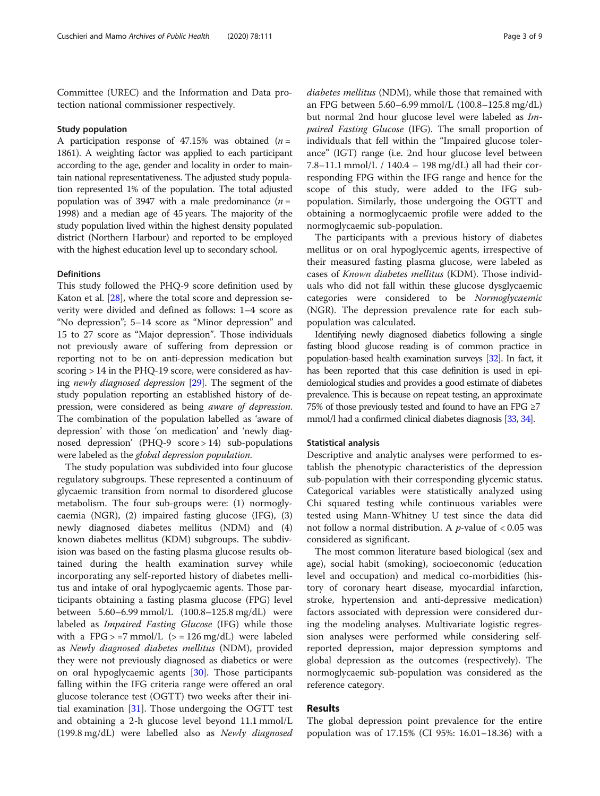Committee (UREC) and the Information and Data protection national commissioner respectively.

#### Study population

A participation response of 47.15% was obtained  $(n =$ 1861). A weighting factor was applied to each participant according to the age, gender and locality in order to maintain national representativeness. The adjusted study population represented 1% of the population. The total adjusted population was of 3947 with a male predominance  $(n =$ 1998) and a median age of 45 years. The majority of the study population lived within the highest density populated district (Northern Harbour) and reported to be employed with the highest education level up to secondary school.

## **Definitions**

This study followed the PHQ-9 score definition used by Katon et al. [\[28](#page-8-0)], where the total score and depression severity were divided and defined as follows: 1–4 score as "No depression"; 5–14 score as "Minor depression" and 15 to 27 score as "Major depression". Those individuals not previously aware of suffering from depression or reporting not to be on anti-depression medication but scoring > 14 in the PHQ-19 score, were considered as having newly diagnosed depression [[29](#page-8-0)]. The segment of the study population reporting an established history of depression, were considered as being aware of depression. The combination of the population labelled as 'aware of depression' with those 'on medication' and 'newly diagnosed depression' (PHQ-9 score > 14) sub-populations were labeled as the global depression population.

The study population was subdivided into four glucose regulatory subgroups. These represented a continuum of glycaemic transition from normal to disordered glucose metabolism. The four sub-groups were: (1) normoglycaemia (NGR), (2) impaired fasting glucose (IFG), (3) newly diagnosed diabetes mellitus (NDM) and (4) known diabetes mellitus (KDM) subgroups. The subdivision was based on the fasting plasma glucose results obtained during the health examination survey while incorporating any self-reported history of diabetes mellitus and intake of oral hypoglycaemic agents. Those participants obtaining a fasting plasma glucose (FPG) level between 5.60–6.99 mmol/L (100.8–125.8 mg/dL) were labeled as *Impaired Fasting Glucose* (IFG) while those with a FPG  $> = 7$  mmol/L ( $> = 126$  mg/dL) were labeled as Newly diagnosed diabetes mellitus (NDM), provided they were not previously diagnosed as diabetics or were on oral hypoglycaemic agents [\[30](#page-8-0)]. Those participants falling within the IFG criteria range were offered an oral glucose tolerance test (OGTT) two weeks after their initial examination [\[31](#page-8-0)]. Those undergoing the OGTT test and obtaining a 2-h glucose level beyond 11.1 mmol/L (199.8 mg/dL) were labelled also as Newly diagnosed diabetes mellitus (NDM), while those that remained with an FPG between 5.60–6.99 mmol/L (100.8–125.8 mg/dL) but normal 2nd hour glucose level were labeled as Impaired Fasting Glucose (IFG). The small proportion of individuals that fell within the "Impaired glucose tolerance" (IGT) range (i.e. 2nd hour glucose level between 7.8–11.1 mmol/L / 140.4 – 198 mg/dL) all had their corresponding FPG within the IFG range and hence for the scope of this study, were added to the IFG subpopulation. Similarly, those undergoing the OGTT and obtaining a normoglycaemic profile were added to the normoglycaemic sub-population.

The participants with a previous history of diabetes mellitus or on oral hypoglycemic agents, irrespective of their measured fasting plasma glucose, were labeled as cases of Known diabetes mellitus (KDM). Those individuals who did not fall within these glucose dysglycaemic categories were considered to be Normoglycaemic (NGR). The depression prevalence rate for each subpopulation was calculated.

Identifying newly diagnosed diabetics following a single fasting blood glucose reading is of common practice in population-based health examination surveys [\[32\]](#page-8-0). In fact, it has been reported that this case definition is used in epidemiological studies and provides a good estimate of diabetes prevalence. This is because on repeat testing, an approximate 75% of those previously tested and found to have an FPG  $\geq$ 7 mmol/l had a confirmed clinical diabetes diagnosis [[33,](#page-8-0) [34\]](#page-8-0).

# Statistical analysis

Descriptive and analytic analyses were performed to establish the phenotypic characteristics of the depression sub-population with their corresponding glycemic status. Categorical variables were statistically analyzed using Chi squared testing while continuous variables were tested using Mann-Whitney U test since the data did not follow a normal distribution. A *p*-value of  $< 0.05$  was considered as significant.

The most common literature based biological (sex and age), social habit (smoking), socioeconomic (education level and occupation) and medical co-morbidities (history of coronary heart disease, myocardial infarction, stroke, hypertension and anti-depressive medication) factors associated with depression were considered during the modeling analyses. Multivariate logistic regression analyses were performed while considering selfreported depression, major depression symptoms and global depression as the outcomes (respectively). The normoglycaemic sub-population was considered as the reference category.

# Results

The global depression point prevalence for the entire population was of 17.15% (CI 95%: 16.01–18.36) with a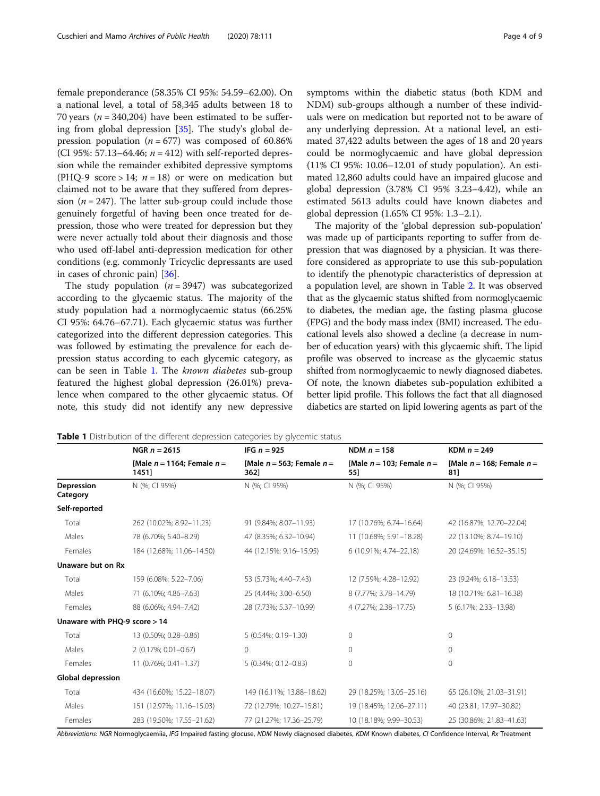female preponderance (58.35% CI 95%: 54.59–62.00). On a national level, a total of 58,345 adults between 18 to 70 years ( $n = 340,204$ ) have been estimated to be suffering from global depression [\[35\]](#page-8-0). The study's global depression population ( $n = 677$ ) was composed of 60.86% (CI 95%: 57.13–64.46;  $n = 412$ ) with self-reported depression while the remainder exhibited depressive symptoms (PHQ-9 score > 14;  $n = 18$ ) or were on medication but claimed not to be aware that they suffered from depression ( $n = 247$ ). The latter sub-group could include those genuinely forgetful of having been once treated for depression, those who were treated for depression but they were never actually told about their diagnosis and those who used off-label anti-depression medication for other conditions (e.g. commonly Tricyclic depressants are used in cases of chronic pain) [[36\]](#page-8-0).

The study population  $(n = 3947)$  was subcategorized according to the glycaemic status. The majority of the study population had a normoglycaemic status (66.25% CI 95%: 64.76–67.71). Each glycaemic status was further categorized into the different depression categories. This was followed by estimating the prevalence for each depression status according to each glycemic category, as can be seen in Table 1. The known diabetes sub-group featured the highest global depression (26.01%) prevalence when compared to the other glycaemic status. Of note, this study did not identify any new depressive symptoms within the diabetic status (both KDM and NDM) sub-groups although a number of these individuals were on medication but reported not to be aware of any underlying depression. At a national level, an estimated 37,422 adults between the ages of 18 and 20 years could be normoglycaemic and have global depression (11% CI 95%: 10.06–12.01 of study population). An estimated 12,860 adults could have an impaired glucose and global depression (3.78% CI 95% 3.23–4.42), while an estimated 5613 adults could have known diabetes and global depression (1.65% CI 95%: 1.3–2.1).

The majority of the 'global depression sub-population' was made up of participants reporting to suffer from depression that was diagnosed by a physician. It was therefore considered as appropriate to use this sub-population to identify the phenotypic characteristics of depression at a population level, are shown in Table [2.](#page-4-0) It was observed that as the glycaemic status shifted from normoglycaemic to diabetes, the median age, the fasting plasma glucose (FPG) and the body mass index (BMI) increased. The educational levels also showed a decline (a decrease in number of education years) with this glycaemic shift. The lipid profile was observed to increase as the glycaemic status shifted from normoglycaemic to newly diagnosed diabetes. Of note, the known diabetes sub-population exhibited a better lipid profile. This follows the fact that all diagnosed diabetics are started on lipid lowering agents as part of the

|                               | NGR $n = 2615$                           | IFG $n = 925$                          | NDM $n = 158$                         | KDM $n = 249$                         |
|-------------------------------|------------------------------------------|----------------------------------------|---------------------------------------|---------------------------------------|
|                               | [Male $n = 1164$ ; Female $n =$<br>1451] | [Male $n = 563$ ; Female $n =$<br>362] | [Male $n = 103$ ; Female $n =$<br>55] | [Male $n = 168$ ; Female $n =$<br>81] |
| Depression<br>Category        | N (%; CI 95%)                            | N (%; CI 95%)                          | N (%; CI 95%)                         | N (%; CI 95%)                         |
| Self-reported                 |                                          |                                        |                                       |                                       |
| Total                         | 262 (10.02%; 8.92-11.23)                 | 91 (9.84%; 8.07-11.93)                 | 17 (10.76%; 6.74-16.64)               | 42 (16.87%; 12.70-22.04)              |
| Males                         | 78 (6.70%; 5.40-8.29)                    | 47 (8.35%; 6.32-10.94)                 | 11 (10.68%; 5.91-18.28)               | 22 (13.10%; 8.74-19.10)               |
| Females                       | 184 (12.68%; 11.06-14.50)                | 44 (12.15%; 9.16-15.95)                | 6 (10.91%; 4.74-22.18)                | 20 (24.69%; 16.52-35.15)              |
| Unaware but on Rx             |                                          |                                        |                                       |                                       |
| Total                         | 159 (6.08%; 5.22-7.06)                   | 53 (5.73%: 4.40-7.43)                  | 12 (7.59%; 4.28-12.92)                | 23 (9.24%; 6.18-13.53)                |
| Males                         | 71 (6.10%; 4.86-7.63)                    | 25 (4.44%; 3.00-6.50)                  | 8 (7.77%; 3.78-14.79)                 | 18 (10.71%; 6.81-16.38)               |
| Females                       | 88 (6.06%; 4.94-7.42)                    | 28 (7.73%; 5.37-10.99)                 | 4 (7.27%; 2.38-17.75)                 | 5 (6.17%; 2.33-13.98)                 |
| Unaware with PHO-9 score > 14 |                                          |                                        |                                       |                                       |
| Total                         | 13 (0.50%; 0.28-0.86)                    | 5 (0.54%; 0.19-1.30)                   | $\Omega$                              | $\Omega$                              |
| Males                         | 2 (0.17%; 0.01-0.67)                     | $\mathbf{0}$                           | $\Omega$                              | 0                                     |
| Females                       | $11(0.76\%; 0.41-1.37)$                  | $5(0.34\%; 0.12-0.83)$                 | 0                                     | 0                                     |
| <b>Global depression</b>      |                                          |                                        |                                       |                                       |
| Total                         | 434 (16.60%; 15.22-18.07)                | 149 (16.11%; 13.88-18.62)              | 29 (18.25%; 13.05-25.16)              | 65 (26.10%; 21.03-31.91)              |
| Males                         | 151 (12.97%; 11.16-15.03)                | 72 (12.79%; 10.27-15.81)               | 19 (18.45%: 12.06-27.11)              | 40 (23.81; 17.97-30.82)               |
| Females                       | 283 (19.50%; 17.55-21.62)                | 77 (21.27%; 17.36-25.79)               | 10 (18.18%; 9.99-30.53)               | 25 (30.86%; 21.83-41.63)              |

Table 1 Distribution of the different depression categories by glycemic status

Abbreviations: NGR Normoglycaemiia, IFG Impaired fasting glocuse, NDM Newly diagnosed diabetes, KDM Known diabetes, CI Confidence Interval, Rx Treatment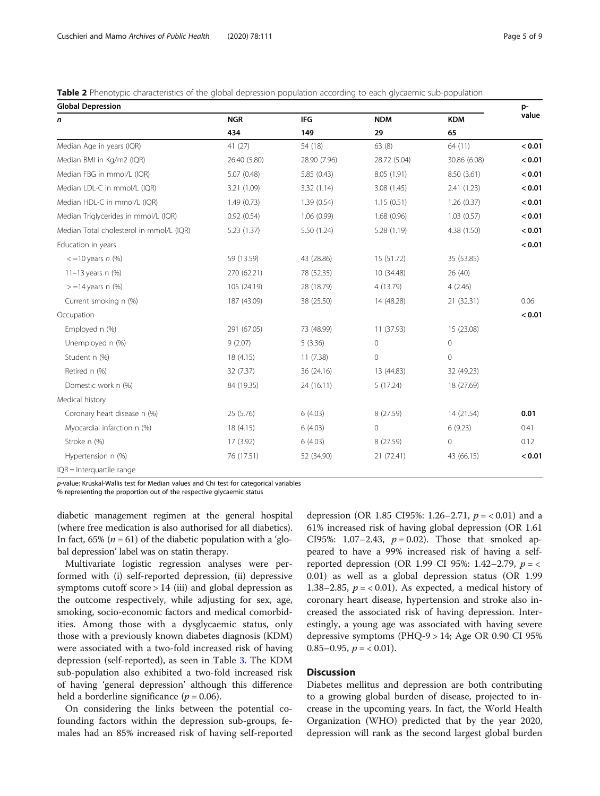<span id="page-4-0"></span>

| <b>Table 2</b> Phenotypic characteristics of the global depression population according to each glycaemic sub-population |  |  |
|--------------------------------------------------------------------------------------------------------------------------|--|--|
|                                                                                                                          |  |  |

| <b>Global Depression</b>                 |              |              |              |                     | p-     |
|------------------------------------------|--------------|--------------|--------------|---------------------|--------|
| n                                        | <b>NGR</b>   | IFG          | <b>NDM</b>   | <b>KDM</b>          | value  |
|                                          | 434          | 149          | 29           | 65                  |        |
| Median Age in years (IQR)                | 41(27)       | 54 (18)      | 63(8)        | 64 (11)             | < 0.01 |
| Median BMI in Kg/m2 (IQR)                | 26.40 (5.80) | 28.90 (7.96) | 28.72 (5.04) | 30.86 (6.08)        | < 0.01 |
| Median FBG in mmol/L (IQR)               | 5.07(0.48)   | 5.85(0.43)   | 8.05 (1.91)  | 8.50 (3.61)         | < 0.01 |
| Median LDL-C in mmol/L (IQR)             | 3.21 (1.09)  | 3.32(1.14)   | 3.08(1.45)   | 2.41(1.23)          | < 0.01 |
| Median HDL-C in mmol/L (IQR)             | 1.49(0.73)   | 1.39(0.54)   | 1.15(0.51)   | 1.26(0.37)          | < 0.01 |
| Median Triglycerides in mmol/L (IQR)     | 0.92(0.54)   | 1.06 (0.99)  | 1.68(0.96)   | 1.03(0.57)          | < 0.01 |
| Median Total cholesterol in mmol/L (IQR) | 5.23(1.37)   | 5.50 (1.24)  | 5.28(1.19)   | 4.38 (1.50)         | < 0.01 |
| Education in years                       |              |              |              |                     | < 0.01 |
| $\epsilon$ =10 years $n$ (%)             | 59 (13.59)   | 43 (28.86)   | 15 (51.72)   | 35 (53.85)          |        |
| 11-13 years $n$ (%)                      | 270 (62.21)  | 78 (52.35)   | 10 (34.48)   | 26 (40)             |        |
| $>$ =14 years n $(\%)$                   | 105 (24.19)  | 28 (18.79)   | 4 (13.79)    | 4(2.46)             |        |
| Current smoking n (%)                    | 187 (43.09)  | 38 (25.50)   | 14 (48.28)   | 21 (32.31)          | 0.06   |
| Occupation                               |              |              |              |                     | < 0.01 |
| Employed n (%)                           | 291 (67.05)  | 73 (48.99)   | 11 (37.93)   | 15 (23.08)          |        |
| Unemployed n (%)                         | 9(2.07)      | 5(3.36)      | 0            | $\mathsf{O}\xspace$ |        |
| Student n (%)                            | 18 (4.15)    | 11(7.38)     | 0            | $\mathbf{0}$        |        |
| Retired n (%)                            | 32 (7.37)    | 36 (24.16)   | 13 (44.83)   | 32 (49.23)          |        |
| Domestic work n (%)                      | 84 (19.35)   | 24 (16.11)   | 5(17.24)     | 18 (27.69)          |        |
| Medical history                          |              |              |              |                     |        |
| Coronary heart disease n (%)             | 25(5.76)     | 6(4.03)      | 8 (27.59)    | 14 (21.54)          | 0.01   |
| Myocardial infarction n (%)              | 18 (4.15)    | 6(4.03)      | 0            | 6(9.23)             | 0.41   |
| Stroke n (%)                             | 17 (3.92)    | 6(4.03)      | 8 (27.59)    | $\mathbf 0$         | 0.12   |
| Hypertension n (%)                       | 76 (17.51)   | 52 (34.90)   | 21 (72.41)   | 43 (66.15)          | < 0.01 |
| IQR = Interquartile range                |              |              |              |                     |        |

p-value: Kruskal-Wallis test for Median values and Chi test for categorical variables

% representing the proportion out of the respective glycaemic status

diabetic management regimen at the general hospital (where free medication is also authorised for all diabetics). In fact, 65% ( $n = 61$ ) of the diabetic population with a 'global depression' label was on statin therapy.

Multivariate logistic regression analyses were performed with (i) self-reported depression, (ii) depressive symptoms cutoff score > 14 (iii) and global depression as the outcome respectively, while adjusting for sex, age, smoking, socio-economic factors and medical comorbidities. Among those with a dysglycaemic status, only those with a previously known diabetes diagnosis (KDM) were associated with a two-fold increased risk of having depression (self-reported), as seen in Table [3.](#page-5-0) The KDM sub-population also exhibited a two-fold increased risk of having 'general depression' although this difference held a borderline significance ( $p = 0.06$ ).

On considering the links between the potential cofounding factors within the depression sub-groups, females had an 85% increased risk of having self-reported

depression (OR 1.85 CI95%: 1.26–2.71,  $p = < 0.01$ ) and a 61% increased risk of having global depression (OR 1.61 CI95%: 1.07-2.43,  $p = 0.02$ ). Those that smoked appeared to have a 99% increased risk of having a selfreported depression (OR 1.99 CI 95%: 1.42–2.79,  $p = \langle$ 0.01) as well as a global depression status (OR 1.99 1.38–2.85,  $p = < 0.01$ ). As expected, a medical history of coronary heart disease, hypertension and stroke also increased the associated risk of having depression. Interestingly, a young age was associated with having severe depressive symptoms (PHQ-9 > 14; Age OR 0.90 CI 95% 0.85–0.95,  $p = 0.01$ ).

# **Discussion**

Diabetes mellitus and depression are both contributing to a growing global burden of disease, projected to increase in the upcoming years. In fact, the World Health Organization (WHO) predicted that by the year 2020, depression will rank as the second largest global burden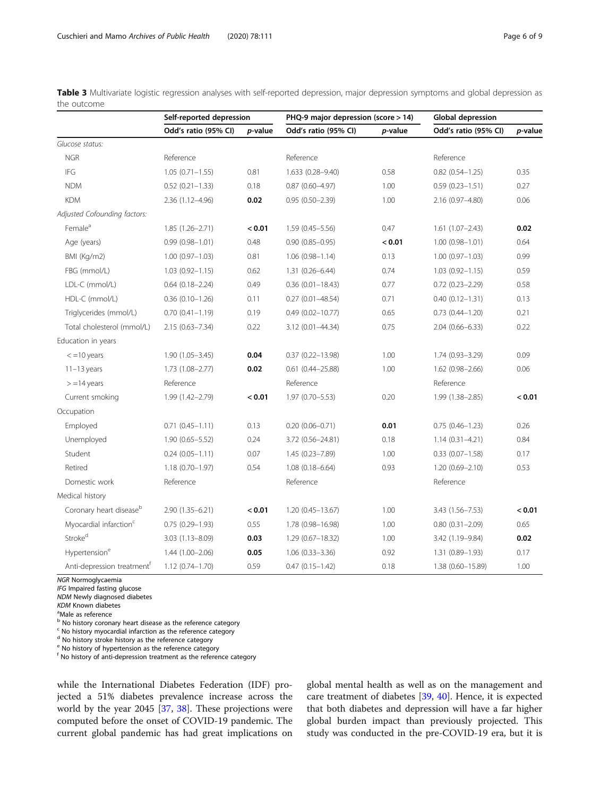<span id="page-5-0"></span>Table 3 Multivariate logistic regression analyses with self-reported depression, major depression symptoms and global depression as the outcome

|                                        | Self-reported depression |         | PHQ-9 major depression (score > 14) |                 | <b>Global depression</b> |         |
|----------------------------------------|--------------------------|---------|-------------------------------------|-----------------|--------------------------|---------|
|                                        | Odd's ratio (95% CI)     | p-value | Odd's ratio (95% CI)                | <i>p</i> -value | Odd's ratio (95% CI)     | p-value |
| Glucose status:                        |                          |         |                                     |                 |                          |         |
| <b>NGR</b>                             | Reference                |         | Reference                           |                 | Reference                |         |
| <b>IFG</b>                             | $1.05(0.71 - 1.55)$      | 0.81    | 1.633 (0.28-9.40)                   | 0.58            | $0.82$ $(0.54 - 1.25)$   | 0.35    |
| <b>NDM</b>                             | $0.52$ (0.21-1.33)       | 0.18    | $0.87$ (0.60-4.97)                  | 1.00            | $0.59(0.23 - 1.51)$      | 0.27    |
| <b>KDM</b>                             | 2.36 (1.12-4.96)         | 0.02    | $0.95(0.50 - 2.39)$                 | 1.00            | 2.16 (0.97-4.80)         | 0.06    |
| Adjusted Cofounding factors:           |                          |         |                                     |                 |                          |         |
| Female <sup>a</sup>                    | $1.85(1.26 - 2.71)$      | < 0.01  | $1.59(0.45 - 5.56)$                 | 0.47            | $1.61(1.07 - 2.43)$      | 0.02    |
| Age (years)                            | $0.99(0.98 - 1.01)$      | 0.48    | $0.90(0.85 - 0.95)$                 | < 0.01          | $1.00(0.98 - 1.01)$      | 0.64    |
| BMI (Kg/m2)                            | $1.00(0.97 - 1.03)$      | 0.81    | $1.06(0.98 - 1.14)$                 | 0.13            | $1.00(0.97 - 1.03)$      | 0.99    |
| FBG (mmol/L)                           | $1.03(0.92 - 1.15)$      | 0.62    | $1.31(0.26 - 6.44)$                 | 0.74            | $1.03(0.92 - 1.15)$      | 0.59    |
| LDL-C (mmol/L)                         | $0.64$ $(0.18 - 2.24)$   | 0.49    | $0.36(0.01 - 18.43)$                | 0.77            | $0.72$ $(0.23 - 2.29)$   | 0.58    |
| HDL-C (mmol/L)                         | $0.36(0.10-1.26)$        | 0.11    | $0.27(0.01 - 48.54)$                | 0.71            | $0.40(0.12 - 1.31)$      | 0.13    |
| Triglycerides (mmol/L)                 | $0.70(0.41 - 1.19)$      | 0.19    | $0.49(0.02 - 10.77)$                | 0.65            | $0.73$ $(0.44 - 1.20)$   | 0.21    |
| Total cholesterol (mmol/L)             | $2.15(0.63 - 7.34)$      | 0.22    | 3.12 (0.01-44.34)                   | 0.75            | 2.04 (0.66-6.33)         | 0.22    |
| Education in years                     |                          |         |                                     |                 |                          |         |
| $<$ =10 years                          | $1.90(1.05 - 3.45)$      | 0.04    | $0.37(0.22 - 13.98)$                | 1.00            | 1.74 (0.93-3.29)         | 0.09    |
| $11-13$ years                          | 1.73 (1.08-2.77)         | 0.02    | $0.61$ $(0.44 - 25.88)$             | 1.00            | 1.62 (0.98-2.66)         | 0.06    |
| $>$ =14 years                          | Reference                |         | Reference                           |                 | Reference                |         |
| Current smoking                        | 1.99 (1.42-2.79)         | < 0.01  | 1.97 (0.70-5.53)                    | 0.20            | 1.99 (1.38-2.85)         | < 0.01  |
| Occupation                             |                          |         |                                     |                 |                          |         |
| Employed                               | $0.71(0.45 - 1.11)$      | 0.13    | $0.20(0.06 - 0.71)$                 | 0.01            | $0.75(0.46 - 1.23)$      | 0.26    |
| Unemployed                             | $1.90(0.65 - 5.52)$      | 0.24    | 3.72 (0.56-24.81)                   | 0.18            | $1.14(0.31 - 4.21)$      | 0.84    |
| Student                                | $0.24(0.05 - 1.11)$      | 0.07    | 1.45 (0.23-7.89)                    | 1.00            | $0.33$ $(0.07 - 1.58)$   | 0.17    |
| Retired                                | $1.18(0.70 - 1.97)$      | 0.54    | $1.08(0.18 - 6.64)$                 | 0.93            | 1.20 (0.69-2.10)         | 0.53    |
| Domestic work                          | Reference                |         | Reference                           |                 | Reference                |         |
| Medical history                        |                          |         |                                     |                 |                          |         |
| Coronary heart disease <sup>b</sup>    | 2.90 (1.35-6.21)         | < 0.01  | $1.20(0.45 - 13.67)$                | 1.00            | 3.43 (1.56-7.53)         | < 0.01  |
| Myocardial infarction <sup>c</sup>     | $0.75(0.29 - 1.93)$      | 0.55    | 1.78 (0.98-16.98)                   | 1.00            | $0.80(0.31 - 2.09)$      | 0.65    |
| Stroke <sup>d</sup>                    | $3.03(1.13 - 8.09)$      | 0.03    | 1.29 (0.67-18.32)                   | 1.00            | 3.42 (1.19-9.84)         | 0.02    |
| Hypertension <sup>e</sup>              | 1.44 (1.00-2.06)         | 0.05    | $1.06(0.33 - 3.36)$                 | 0.92            | $1.31(0.89 - 1.93)$      | 0.17    |
| Anti-depression treatment <sup>†</sup> | $1.12(0.74 - 1.70)$      | 0.59    | $0.47(0.15 - 1.42)$                 | 0.18            | 1.38 (0.60-15.89)        | 1.00    |

NGR Normoglycaemia

IFG Impaired fasting glucose

NDM Newly diagnosed diabetes

KDM Known diabetes

Male as reference

b No history coronary heart disease as the reference category

<sup>c</sup> No history myocardial infarction as the reference category

 $<sup>d</sup>$  No history stroke history as the reference category</sup>

<sup>e</sup> No history of hypertension as the reference category

<sup>f</sup> No history of anti-depression treatment as the reference category

while the International Diabetes Federation (IDF) projected a 51% diabetes prevalence increase across the world by the year 2045 [\[37,](#page-8-0) [38](#page-8-0)]. These projections were computed before the onset of COVID-19 pandemic. The current global pandemic has had great implications on global mental health as well as on the management and care treatment of diabetes [[39,](#page-8-0) [40\]](#page-8-0). Hence, it is expected that both diabetes and depression will have a far higher global burden impact than previously projected. This study was conducted in the pre-COVID-19 era, but it is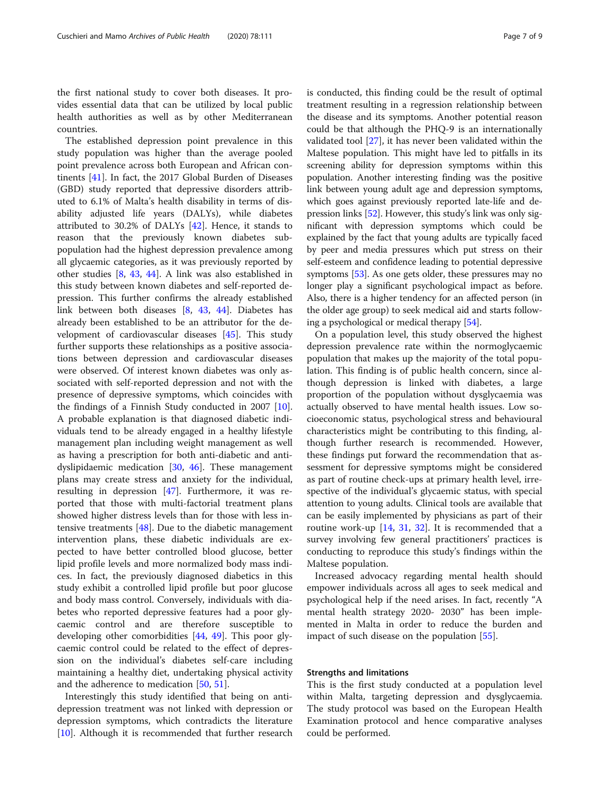health authorities as well as by other Mediterranean

countries. The established depression point prevalence in this study population was higher than the average pooled point prevalence across both European and African continents [\[41\]](#page-8-0). In fact, the 2017 Global Burden of Diseases (GBD) study reported that depressive disorders attributed to 6.1% of Malta's health disability in terms of disability adjusted life years (DALYs), while diabetes attributed to 30.2% of DALYs [[42](#page-8-0)]. Hence, it stands to reason that the previously known diabetes subpopulation had the highest depression prevalence among all glycaemic categories, as it was previously reported by other studies [[8,](#page-7-0) [43,](#page-8-0) [44\]](#page-8-0). A link was also established in this study between known diabetes and self-reported depression. This further confirms the already established link between both diseases [\[8,](#page-7-0) [43,](#page-8-0) [44\]](#page-8-0). Diabetes has already been established to be an attributor for the development of cardiovascular diseases [\[45\]](#page-8-0). This study further supports these relationships as a positive associations between depression and cardiovascular diseases were observed. Of interest known diabetes was only associated with self-reported depression and not with the presence of depressive symptoms, which coincides with the findings of a Finnish Study conducted in 2007 [\[10](#page-7-0)]. A probable explanation is that diagnosed diabetic individuals tend to be already engaged in a healthy lifestyle management plan including weight management as well as having a prescription for both anti-diabetic and antidyslipidaemic medication [[30,](#page-8-0) [46\]](#page-8-0). These management plans may create stress and anxiety for the individual, resulting in depression [[47\]](#page-8-0). Furthermore, it was reported that those with multi-factorial treatment plans showed higher distress levels than for those with less intensive treatments [[48\]](#page-8-0). Due to the diabetic management intervention plans, these diabetic individuals are expected to have better controlled blood glucose, better lipid profile levels and more normalized body mass indices. In fact, the previously diagnosed diabetics in this study exhibit a controlled lipid profile but poor glucose and body mass control. Conversely, individuals with diabetes who reported depressive features had a poor glycaemic control and are therefore susceptible to developing other comorbidities [\[44,](#page-8-0) [49](#page-8-0)]. This poor glycaemic control could be related to the effect of depression on the individual's diabetes self-care including maintaining a healthy diet, undertaking physical activity and the adherence to medication [[50,](#page-8-0) [51\]](#page-8-0).

Interestingly this study identified that being on antidepression treatment was not linked with depression or depression symptoms, which contradicts the literature [[10\]](#page-7-0). Although it is recommended that further research is conducted, this finding could be the result of optimal treatment resulting in a regression relationship between the disease and its symptoms. Another potential reason could be that although the PHQ-9 is an internationally validated tool [\[27](#page-8-0)], it has never been validated within the Maltese population. This might have led to pitfalls in its screening ability for depression symptoms within this population. Another interesting finding was the positive link between young adult age and depression symptoms, which goes against previously reported late-life and depression links [\[52\]](#page-8-0). However, this study's link was only significant with depression symptoms which could be explained by the fact that young adults are typically faced by peer and media pressures which put stress on their self-esteem and confidence leading to potential depressive symptoms [[53](#page-8-0)]. As one gets older, these pressures may no longer play a significant psychological impact as before. Also, there is a higher tendency for an affected person (in the older age group) to seek medical aid and starts following a psychological or medical therapy [\[54\]](#page-8-0).

On a population level, this study observed the highest depression prevalence rate within the normoglycaemic population that makes up the majority of the total population. This finding is of public health concern, since although depression is linked with diabetes, a large proportion of the population without dysglycaemia was actually observed to have mental health issues. Low socioeconomic status, psychological stress and behavioural characteristics might be contributing to this finding, although further research is recommended. However, these findings put forward the recommendation that assessment for depressive symptoms might be considered as part of routine check-ups at primary health level, irrespective of the individual's glycaemic status, with special attention to young adults. Clinical tools are available that can be easily implemented by physicians as part of their routine work-up [\[14,](#page-8-0) [31,](#page-8-0) [32\]](#page-8-0). It is recommended that a survey involving few general practitioners' practices is conducting to reproduce this study's findings within the Maltese population.

Increased advocacy regarding mental health should empower individuals across all ages to seek medical and psychological help if the need arises. In fact, recently "A mental health strategy 2020- 2030" has been implemented in Malta in order to reduce the burden and impact of such disease on the population [\[55](#page-8-0)].

# Strengths and limitations

This is the first study conducted at a population level within Malta, targeting depression and dysglycaemia. The study protocol was based on the European Health Examination protocol and hence comparative analyses could be performed.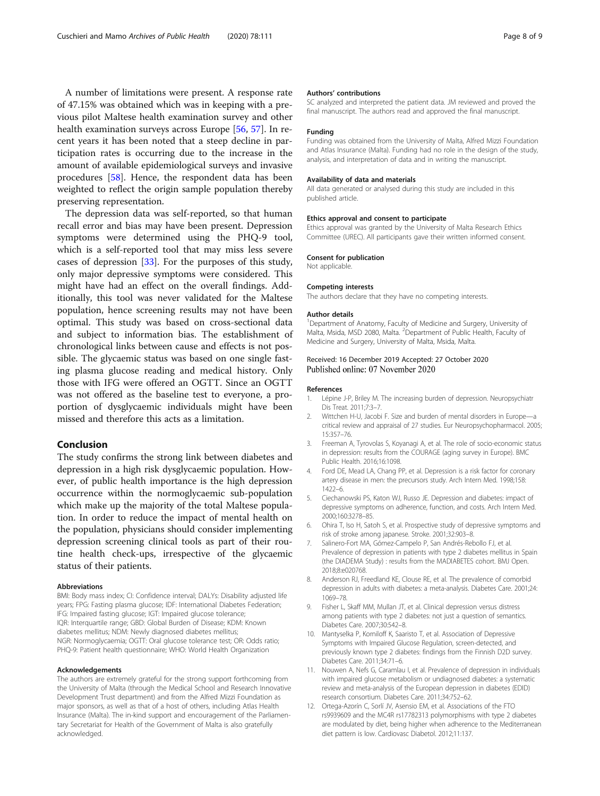<span id="page-7-0"></span>A number of limitations were present. A response rate of 47.15% was obtained which was in keeping with a previous pilot Maltese health examination survey and other health examination surveys across Europe [\[56](#page-8-0), [57](#page-8-0)]. In recent years it has been noted that a steep decline in participation rates is occurring due to the increase in the amount of available epidemiological surveys and invasive procedures [[58\]](#page-8-0). Hence, the respondent data has been weighted to reflect the origin sample population thereby preserving representation.

The depression data was self-reported, so that human recall error and bias may have been present. Depression symptoms were determined using the PHQ-9 tool, which is a self-reported tool that may miss less severe cases of depression [\[33](#page-8-0)]. For the purposes of this study, only major depressive symptoms were considered. This might have had an effect on the overall findings. Additionally, this tool was never validated for the Maltese population, hence screening results may not have been optimal. This study was based on cross-sectional data and subject to information bias. The establishment of chronological links between cause and effects is not possible. The glycaemic status was based on one single fasting plasma glucose reading and medical history. Only those with IFG were offered an OGTT. Since an OGTT was not offered as the baseline test to everyone, a proportion of dysglycaemic individuals might have been missed and therefore this acts as a limitation.

# Conclusion

The study confirms the strong link between diabetes and depression in a high risk dysglycaemic population. However, of public health importance is the high depression occurrence within the normoglycaemic sub-population which make up the majority of the total Maltese population. In order to reduce the impact of mental health on the population, physicians should consider implementing depression screening clinical tools as part of their routine health check-ups, irrespective of the glycaemic status of their patients.

# Abbreviations

BMI: Body mass index; CI: Confidence interval; DALYs: Disability adjusted life years; FPG: Fasting plasma glucose; IDF: International Diabetes Federation; IFG: Impaired fasting glucose; IGT: Impaired glucose tolerance; IQR: Interquartile range; GBD: Global Burden of Disease; KDM: Known diabetes mellitus; NDM: Newly diagnosed diabetes mellitus; NGR: Normoglycaemia; OGTT: Oral glucose tolerance test; OR: Odds ratio; PHQ-9: Patient health questionnaire; WHO: World Health Organization

#### Acknowledgements

The authors are extremely grateful for the strong support forthcoming from the University of Malta (through the Medical School and Research Innovative Development Trust department) and from the Alfred Mizzi Foundation as major sponsors, as well as that of a host of others, including Atlas Health Insurance (Malta). The in-kind support and encouragement of the Parliamentary Secretariat for Health of the Government of Malta is also gratefully acknowledged.

#### Authors' contributions

SC analyzed and interpreted the patient data. JM reviewed and proved the final manuscript. The authors read and approved the final manuscript.

#### Funding

Funding was obtained from the University of Malta, Alfred Mizzi Foundation and Atlas Insurance (Malta). Funding had no role in the design of the study, analysis, and interpretation of data and in writing the manuscript.

#### Availability of data and materials

All data generated or analysed during this study are included in this published article.

#### Ethics approval and consent to participate

Ethics approval was granted by the University of Malta Research Ethics Committee (UREC). All participants gave their written informed consent.

#### Consent for publication

Not applicable.

## Competing interests

The authors declare that they have no competing interests.

#### Author details

<sup>1</sup>Department of Anatomy, Faculty of Medicine and Surgery, University of Malta, Msida, MSD 2080, Malta. <sup>2</sup> Department of Public Health, Faculty of Medicine and Surgery, University of Malta, Msida, Malta.

#### Received: 16 December 2019 Accepted: 27 October 2020 Published online: 07 November 2020

#### References

- 1. Lépine J-P, Briley M. The increasing burden of depression. Neuropsychiatr Dis Treat. 2011;7:3–7.
- 2. Wittchen H-U, Jacobi F. Size and burden of mental disorders in Europe—a critical review and appraisal of 27 studies. Eur Neuropsychopharmacol. 2005; 15:357–76.
- 3. Freeman A, Tyrovolas S, Koyanagi A, et al. The role of socio-economic status in depression: results from the COURAGE (aging survey in Europe). BMC Public Health. 2016;16:1098.
- 4. Ford DE, Mead LA, Chang PP, et al. Depression is a risk factor for coronary artery disease in men: the precursors study. Arch Intern Med. 1998;158: 1422–6.
- 5. Ciechanowski PS, Katon WJ, Russo JE. Depression and diabetes: impact of depressive symptoms on adherence, function, and costs. Arch Intern Med. 2000;160:3278–85.
- 6. Ohira T, Iso H, Satoh S, et al. Prospective study of depressive symptoms and risk of stroke among japanese. Stroke. 2001;32:903–8.
- 7. Salinero-Fort MA, Gómez-Campelo P, San Andrés-Rebollo FJ, et al. Prevalence of depression in patients with type 2 diabetes mellitus in Spain (the DIADEMA Study) : results from the MADIABETES cohort. BMJ Open. 2018;8:e020768.
- 8. Anderson RJ, Freedland KE, Clouse RE, et al. The prevalence of comorbid depression in adults with diabetes: a meta-analysis. Diabetes Care. 2001;24: 1069–78.
- 9. Fisher L, Skaff MM, Mullan JT, et al. Clinical depression versus distress among patients with type 2 diabetes: not just a question of semantics. Diabetes Care. 2007;30:542–8.
- 10. Mantyselka P, Korniloff K, Saaristo T, et al. Association of Depressive Symptoms with Impaired Glucose Regulation, screen-detected, and previously known type 2 diabetes: findings from the Finnish D2D survey. Diabetes Care. 2011;34:71–6.
- 11. Nouwen A, Nefs G, Caramlau I, et al. Prevalence of depression in individuals with impaired glucose metabolism or undiagnosed diabetes: a systematic review and meta-analysis of the European depression in diabetes (EDID) research consortium. Diabetes Care. 2011;34:752–62.
- 12. Ortega-Azorín C, Sorlí JV, Asensio EM, et al. Associations of the FTO rs9939609 and the MC4R rs17782313 polymorphisms with type 2 diabetes are modulated by diet, being higher when adherence to the Mediterranean diet pattern is low. Cardiovasc Diabetol. 2012;11:137.